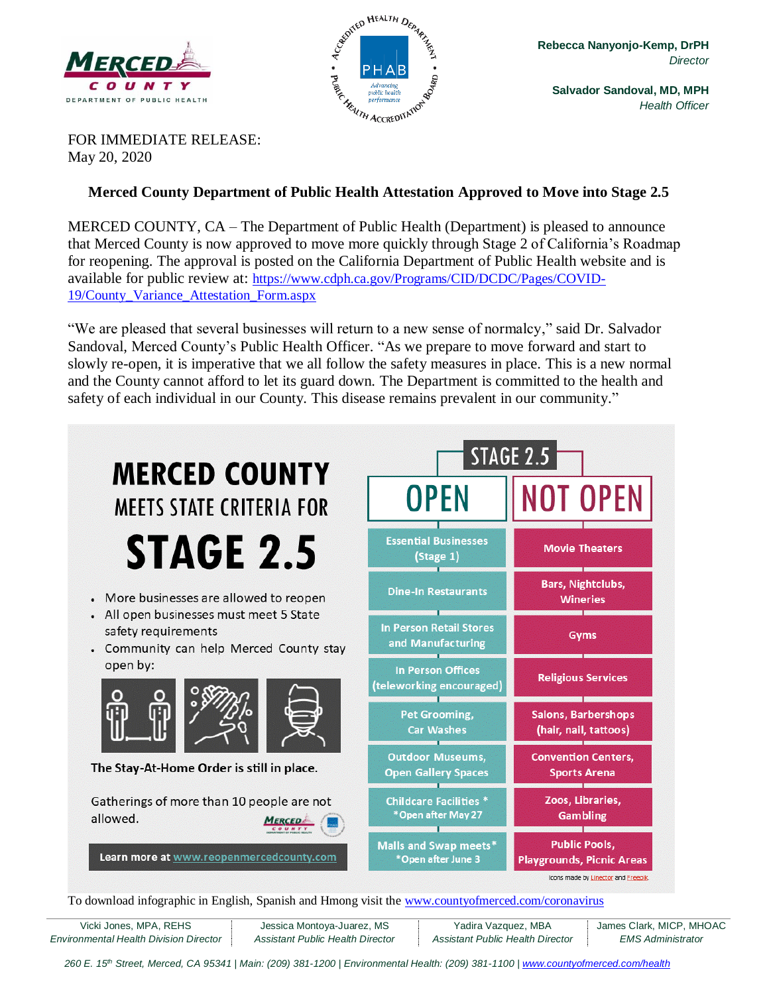



**Salvador Sandoval, MD, MPH** *Health Officer*

FOR IMMEDIATE RELEASE: May 20, 2020

## **Merced County Department of Public Health Attestation Approved to Move into Stage 2.5**

MERCED COUNTY, CA – The Department of Public Health (Department) is pleased to announce that Merced County is now approved to move more quickly through Stage 2 of California's Roadmap for reopening. The approval is posted on the California Department of Public Health website and is available for public review at: [https://www.cdph.ca.gov/Programs/CID/DCDC/Pages/COVID-](https://www.cdph.ca.gov/Programs/CID/DCDC/Pages/COVID-19/County_Variance_Attestation_Form.aspx)[19/County\\_Variance\\_Attestation\\_Form.aspx](https://www.cdph.ca.gov/Programs/CID/DCDC/Pages/COVID-19/County_Variance_Attestation_Form.aspx)

"We are pleased that several businesses will return to a new sense of normalcy," said Dr. Salvador Sandoval, Merced County's Public Health Officer. "As we prepare to move forward and start to slowly re-open, it is imperative that we all follow the safety measures in place. This is a new normal and the County cannot afford to let its guard down. The Department is committed to the health and safety of each individual in our County. This disease remains prevalent in our community."



To download infographic in English, Spanish and Hmong visit the [www.countyofmerced.com/coronavirus](http://www.countyofmerced.com/coronavirus)

| Vicki Jones, MPA, REHS                 | Jessica Montoya-Juarez, MS       | Yadira Vazquez, MBA              | James Clark, MICP, MHOAC |
|----------------------------------------|----------------------------------|----------------------------------|--------------------------|
| Environmental Health Division Director | Assistant Public Health Director | Assistant Public Health Director | <i>EMS Administrator</i> |

260 E. 15<sup>th</sup> Street, Merced, CA 95341 | Main: (209) 381-1200 | Environmental Health: (209) 381-1100 | [www.countyofmerced.com/health](http://www.countyofmerced.com/health)